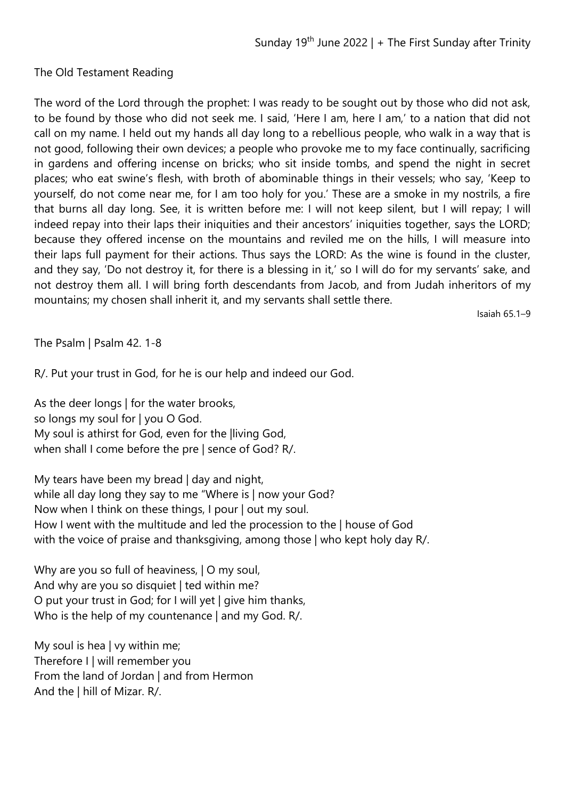## The Old Testament Reading

The word of the Lord through the prophet: I was ready to be sought out by those who did not ask, to be found by those who did not seek me. I said, 'Here I am, here I am,' to a nation that did not call on my name. I held out my hands all day long to a rebellious people, who walk in a way that is not good, following their own devices; a people who provoke me to my face continually, sacrificing in gardens and offering incense on bricks; who sit inside tombs, and spend the night in secret places; who eat swine's flesh, with broth of abominable things in their vessels; who say, 'Keep to yourself, do not come near me, for I am too holy for you.' These are a smoke in my nostrils, a fire that burns all day long. See, it is written before me: I will not keep silent, but I will repay; I will indeed repay into their laps their iniquities and their ancestors' iniquities together, says the LORD; because they offered incense on the mountains and reviled me on the hills, I will measure into their laps full payment for their actions. Thus says the LORD: As the wine is found in the cluster, and they say, 'Do not destroy it, for there is a blessing in it,' so I will do for my servants' sake, and not destroy them all. I will bring forth descendants from Jacob, and from Judah inheritors of my mountains; my chosen shall inherit it, and my servants shall settle there.

Isaiah 65.1–9

The Psalm | Psalm 42. 1-8

R/. Put your trust in God, for he is our help and indeed our God.

As the deer longs | for the water brooks, so longs my soul for | you O God. My soul is athirst for God, even for the |living God, when shall I come before the pre | sence of God? R/.

My tears have been my bread | day and night, while all day long they say to me "Where is | now your God? Now when I think on these things, I pour | out my soul. How I went with the multitude and led the procession to the | house of God with the voice of praise and thanksgiving, among those | who kept holy day R/.

Why are you so full of heaviness,  $|O \rangle$  my soul, And why are you so disquiet | ted within me? O put your trust in God; for I will yet | give him thanks, Who is the help of my countenance | and my God. R/.

My soul is hea | vy within me; Therefore I | will remember you From the land of Jordan | and from Hermon And the | hill of Mizar. R/.